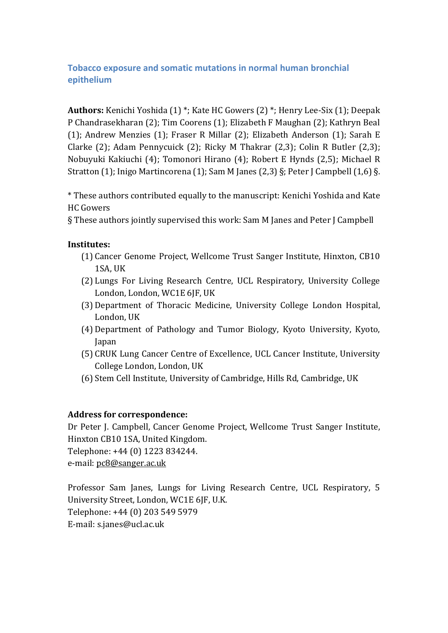# **Tobacco exposure and somatic mutations in normal human bronchial epithelium**

**Authors:** Kenichi Yoshida (1) \*; Kate HC Gowers (2) \*; Henry Lee-Six (1); Deepak P Chandrasekharan (2); Tim Coorens (1); Elizabeth F Maughan (2); Kathryn Beal (1); Andrew Menzies (1); Fraser R Millar (2); Elizabeth Anderson (1); Sarah E Clarke (2); Adam Pennycuick (2); Ricky M Thakrar (2,3); Colin R Butler (2,3); Nobuyuki Kakiuchi (4); Tomonori Hirano (4); Robert E Hynds (2,5); Michael R Stratton (1); Inigo Martincorena (1); Sam M Janes (2,3) §; Peter J Campbell (1,6) §.

\* These authors contributed equally to the manuscript: Kenichi Yoshida and Kate HC Gowers

§ These authors jointly supervised this work: Sam M Janes and Peter J Campbell

# **Institutes:**

- (1) Cancer Genome Project, Wellcome Trust Sanger Institute, Hinxton, CB10 1SA, UK
- (2) Lungs For Living Research Centre, UCL Respiratory, University College London, London, WC1E 6JF, UK
- (3) Department of Thoracic Medicine, University College London Hospital, London, UK
- (4) Department of Pathology and Tumor Biology, Kyoto University, Kyoto, Japan
- (5) CRUK Lung Cancer Centre of Excellence, UCL Cancer Institute, University College London, London, UK
- (6) Stem Cell Institute, University of Cambridge, Hills Rd, Cambridge, UK

# **Address for correspondence:**

Dr Peter J. Campbell, Cancer Genome Project, Wellcome Trust Sanger Institute, Hinxton CB10 1SA, United Kingdom. Telephone: +44 (0) 1223 834244.

e-mail: [pc8@sanger.ac.uk](mailto:pc8@sanger.ac.uk)

Professor Sam Janes, Lungs for Living Research Centre, UCL Respiratory, 5 University Street, London, WC1E 6JF, U.K. Telephone: +44 (0) 203 549 5979 E-mail: s.janes@ucl.ac.uk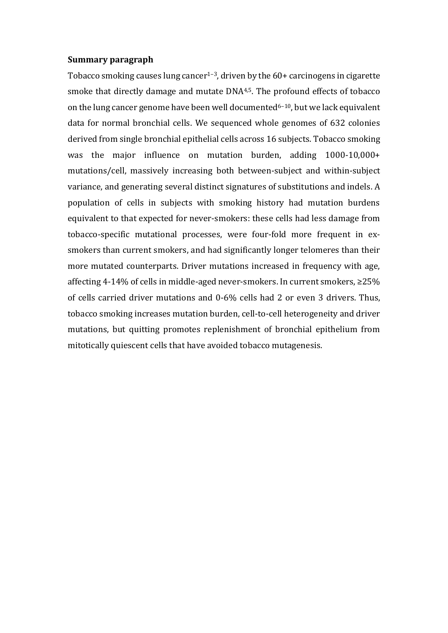#### **Summary paragraph**

Tobacco smoking causes lung cancer<sup>1-3</sup>, driven by the  $60+$  carcinogens in cigarette smoke that directly damage and mutate DNA4,5. The profound effects of tobacco on the lung cancer genome have been well documented<sup>6-10</sup>, but we lack equivalent data for normal bronchial cells. We sequenced whole genomes of 632 colonies derived from single bronchial epithelial cells across 16 subjects. Tobacco smoking was the major influence on mutation burden, adding 1000-10,000+ mutations/cell, massively increasing both between-subject and within-subject variance, and generating several distinct signatures of substitutions and indels. A population of cells in subjects with smoking history had mutation burdens equivalent to that expected for never-smokers: these cells had less damage from tobacco-specific mutational processes, were four-fold more frequent in exsmokers than current smokers, and had significantly longer telomeres than their more mutated counterparts. Driver mutations increased in frequency with age, affecting 4-14% of cells in middle-aged never-smokers. In current smokers, ≥25% of cells carried driver mutations and 0-6% cells had 2 or even 3 drivers. Thus, tobacco smoking increases mutation burden, cell-to-cell heterogeneity and driver mutations, but quitting promotes replenishment of bronchial epithelium from mitotically quiescent cells that have avoided tobacco mutagenesis.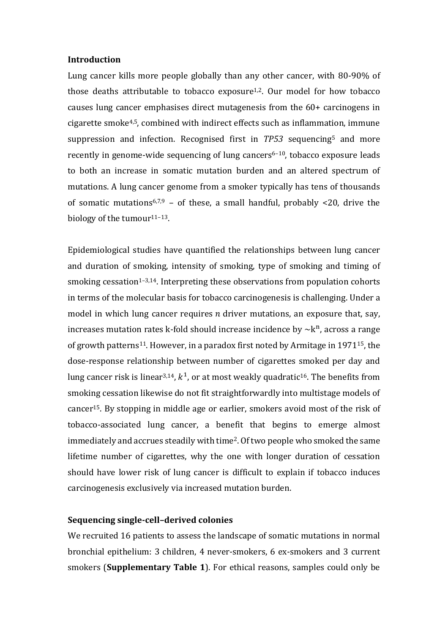#### **Introduction**

Lung cancer kills more people globally than any other cancer, with 80-90% of those deaths attributable to tobacco exposure<sup>1,2</sup>. Our model for how tobacco causes lung cancer emphasises direct mutagenesis from the 60+ carcinogens in cigarette smoke4,5, combined with indirect effects such as inflammation, immune suppression and infection. Recognised first in *TP53* sequencing<sup>5</sup> and more recently in genome-wide sequencing of lung cancers<sup>6-10</sup>, tobacco exposure leads to both an increase in somatic mutation burden and an altered spectrum of mutations. A lung cancer genome from a smoker typically has tens of thousands of somatic mutations<sup>6,7,9</sup> – of these, a small handful, probably <20, drive the biology of the tumour<sup>11-13</sup>.

Epidemiological studies have quantified the relationships between lung cancer and duration of smoking, intensity of smoking, type of smoking and timing of smoking cessation<sup> $1-3,14$ </sup>. Interpreting these observations from population cohorts in terms of the molecular basis for tobacco carcinogenesis is challenging. Under a model in which lung cancer requires  $n$  driver mutations, an exposure that, say, increases mutation rates k-fold should increase incidence by  $\sim$ k<sup>n</sup>, across a range of growth patterns11. However, in a paradox first noted by Armitage in 197115, the dose-response relationship between number of cigarettes smoked per day and lung cancer risk is linear<sup>3,14</sup>,  $k^1$ , or at most weakly quadratic<sup>16</sup>. The benefits from smoking cessation likewise do not fit straightforwardly into multistage models of cancer15. By stopping in middle age or earlier, smokers avoid most of the risk of tobacco-associated lung cancer, a benefit that begins to emerge almost immediately and accrues steadily with time2. Of two people who smoked the same lifetime number of cigarettes, why the one with longer duration of cessation should have lower risk of lung cancer is difficult to explain if tobacco induces carcinogenesis exclusively via increased mutation burden.

#### **Sequencing single-cell–derived colonies**

We recruited 16 patients to assess the landscape of somatic mutations in normal bronchial epithelium: 3 children, 4 never-smokers, 6 ex-smokers and 3 current smokers (**Supplementary Table 1**). For ethical reasons, samples could only be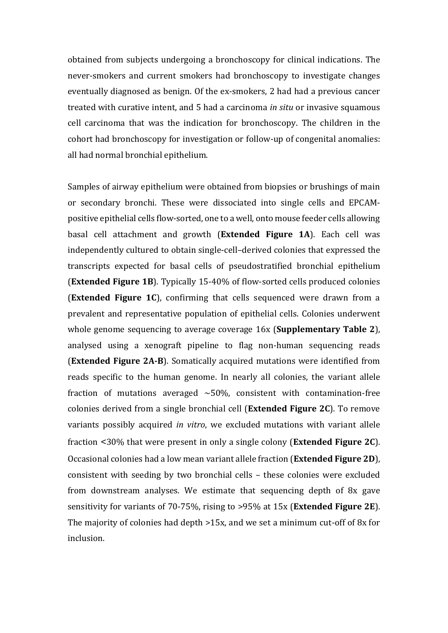obtained from subjects undergoing a bronchoscopy for clinical indications. The never-smokers and current smokers had bronchoscopy to investigate changes eventually diagnosed as benign. Of the ex-smokers, 2 had had a previous cancer treated with curative intent, and 5 had a carcinoma *in situ* or invasive squamous cell carcinoma that was the indication for bronchoscopy. The children in the cohort had bronchoscopy for investigation or follow-up of congenital anomalies: all had normal bronchial epithelium.

Samples of airway epithelium were obtained from biopsies or brushings of main or secondary bronchi. These were dissociated into single cells and EPCAMpositive epithelial cells flow-sorted, one to a well, onto mouse feeder cells allowing basal cell attachment and growth (**Extended Figure 1A**). Each cell was independently cultured to obtain single-cell–derived colonies that expressed the transcripts expected for basal cells of pseudostratified bronchial epithelium (**Extended Figure 1B**). Typically 15-40% of flow-sorted cells produced colonies (**Extended Figure 1C**), confirming that cells sequenced were drawn from a prevalent and representative population of epithelial cells. Colonies underwent whole genome sequencing to average coverage 16x (**Supplementary Table 2**), analysed using a xenograft pipeline to flag non-human sequencing reads (**Extended Figure 2A-B**). Somatically acquired mutations were identified from reads specific to the human genome. In nearly all colonies, the variant allele fraction of mutations averaged  $\sim$  50%, consistent with contamination-free colonies derived from a single bronchial cell (**Extended Figure 2C**). To remove variants possibly acquired *in vitro*, we excluded mutations with variant allele fraction <30% that were present in only a single colony (**Extended Figure 2C**). Occasional colonies had a low mean variant allele fraction (**Extended Figure 2D**), consistent with seeding by two bronchial cells – these colonies were excluded from downstream analyses. We estimate that sequencing depth of 8x gave sensitivity for variants of 70-75%, rising to >95% at 15x (**Extended Figure 2E**). The majority of colonies had depth >15x, and we set a minimum cut-off of 8x for inclusion.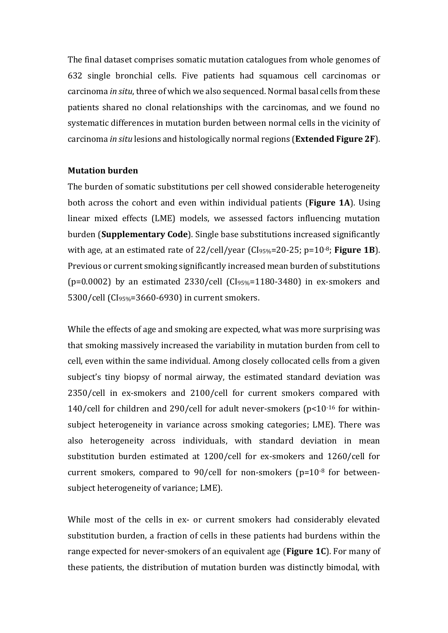The final dataset comprises somatic mutation catalogues from whole genomes of 632 single bronchial cells. Five patients had squamous cell carcinomas or carcinoma *in situ*, three of which we also sequenced. Normal basal cells from these patients shared no clonal relationships with the carcinomas, and we found no systematic differences in mutation burden between normal cells in the vicinity of carcinoma *in situ* lesions and histologically normal regions (**Extended Figure 2F**).

#### **Mutation burden**

The burden of somatic substitutions per cell showed considerable heterogeneity both across the cohort and even within individual patients (**Figure 1A**). Using linear mixed effects (LME) models, we assessed factors influencing mutation burden (**Supplementary Code**). Single base substitutions increased significantly with age, at an estimated rate of 22/cell/year (CI95%=20-25; p=10-8; **Figure 1B**). Previous or current smoking significantly increased mean burden of substitutions (p=0.0002) by an estimated  $2330$ /cell (CI<sub>95%</sub>=1180-3480) in ex-smokers and 5300/cell (CI95%=3660-6930) in current smokers.

While the effects of age and smoking are expected, what was more surprising was that smoking massively increased the variability in mutation burden from cell to cell, even within the same individual. Among closely collocated cells from a given subject's tiny biopsy of normal airway, the estimated standard deviation was 2350/cell in ex-smokers and 2100/cell for current smokers compared with 140/cell for children and 290/cell for adult never-smokers (p<10-16 for withinsubject heterogeneity in variance across smoking categories; LME). There was also heterogeneity across individuals, with standard deviation in mean substitution burden estimated at 1200/cell for ex-smokers and 1260/cell for current smokers, compared to 90/cell for non-smokers ( $p=10^{-8}$  for betweensubject heterogeneity of variance; LME).

While most of the cells in ex- or current smokers had considerably elevated substitution burden, a fraction of cells in these patients had burdens within the range expected for never-smokers of an equivalent age (**Figure 1C**). For many of these patients, the distribution of mutation burden was distinctly bimodal, with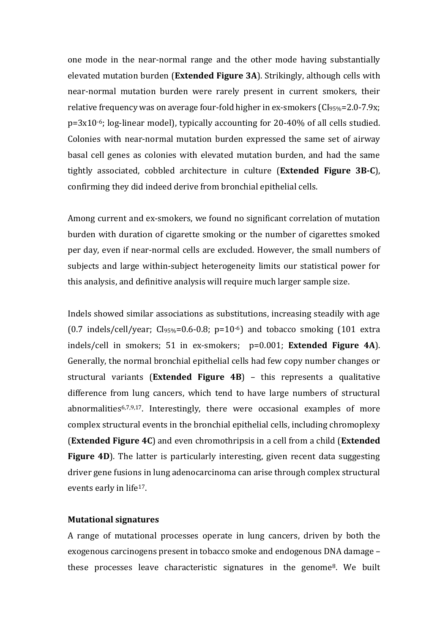one mode in the near-normal range and the other mode having substantially elevated mutation burden (**Extended Figure 3A**). Strikingly, although cells with near-normal mutation burden were rarely present in current smokers, their relative frequency was on average four-fold higher in ex-smokers (CI95%=2.0-7.9x; p=3x10-6; log-linear model), typically accounting for 20-40% of all cells studied. Colonies with near-normal mutation burden expressed the same set of airway basal cell genes as colonies with elevated mutation burden, and had the same tightly associated, cobbled architecture in culture (**Extended Figure 3B-C**), confirming they did indeed derive from bronchial epithelial cells.

Among current and ex-smokers, we found no significant correlation of mutation burden with duration of cigarette smoking or the number of cigarettes smoked per day, even if near-normal cells are excluded. However, the small numbers of subjects and large within-subject heterogeneity limits our statistical power for this analysis, and definitive analysis will require much larger sample size.

Indels showed similar associations as substitutions, increasing steadily with age  $(0.7 \text{ indels/cell/year}; \text{CIs}_95\% = 0.6-0.8; \text{p=10-6})$  and tobacco smoking  $(101 \text{ extra})$ indels/cell in smokers; 51 in ex-smokers; p=0.001; **Extended Figure 4A**). Generally, the normal bronchial epithelial cells had few copy number changes or structural variants (**Extended Figure 4B**) – this represents a qualitative difference from lung cancers, which tend to have large numbers of structural abnormalities6,7,9,17. Interestingly, there were occasional examples of more complex structural events in the bronchial epithelial cells, including chromoplexy (**Extended Figure 4C**) and even chromothripsis in a cell from a child (**Extended**  Figure 4D). The latter is particularly interesting, given recent data suggesting driver gene fusions in lung adenocarcinoma can arise through complex structural events early in life<sup>17</sup>.

#### **Mutational signatures**

A range of mutational processes operate in lung cancers, driven by both the exogenous carcinogens present in tobacco smoke and endogenous DNA damage – these processes leave characteristic signatures in the genome8. We built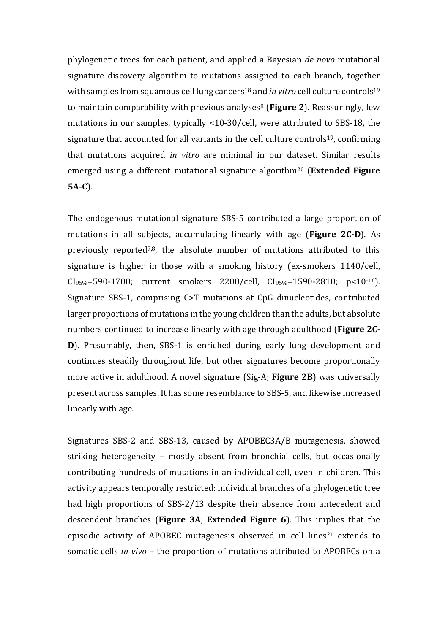phylogenetic trees for each patient, and applied a Bayesian *de novo* mutational signature discovery algorithm to mutations assigned to each branch, together with samples from squamous cell lung cancers<sup>18</sup> and *in vitro* cell culture controls<sup>19</sup> to maintain comparability with previous analyses<sup>8</sup> (Figure 2). Reassuringly, few mutations in our samples, typically <10-30/cell, were attributed to SBS-18, the signature that accounted for all variants in the cell culture controls19, confirming that mutations acquired *in vitro* are minimal in our dataset. Similar results emerged using a different mutational signature algorithm<sup>20</sup> (**Extended Figure 5A-C**).

The endogenous mutational signature SBS-5 contributed a large proportion of mutations in all subjects, accumulating linearly with age (**Figure 2C-D**). As previously reported7,8, the absolute number of mutations attributed to this signature is higher in those with a smoking history (ex-smokers 1140/cell, CI95%=590-1700; current smokers 2200/cell, CI95%=1590-2810; p<10-16). Signature SBS-1, comprising C>T mutations at CpG dinucleotides, contributed larger proportions of mutations in the young children than the adults, but absolute numbers continued to increase linearly with age through adulthood (**Figure 2C-D**). Presumably, then, SBS-1 is enriched during early lung development and continues steadily throughout life, but other signatures become proportionally more active in adulthood. A novel signature (Sig-A; **Figure 2B**) was universally present across samples. It has some resemblance to SBS-5, and likewise increased linearly with age.

Signatures SBS-2 and SBS-13, caused by APOBEC3A/B mutagenesis, showed striking heterogeneity – mostly absent from bronchial cells, but occasionally contributing hundreds of mutations in an individual cell, even in children. This activity appears temporally restricted: individual branches of a phylogenetic tree had high proportions of SBS-2/13 despite their absence from antecedent and descendent branches (**Figure 3A**; **Extended Figure 6**). This implies that the episodic activity of APOBEC mutagenesis observed in cell lines<sup>21</sup> extends to somatic cells *in vivo* – the proportion of mutations attributed to APOBECs on a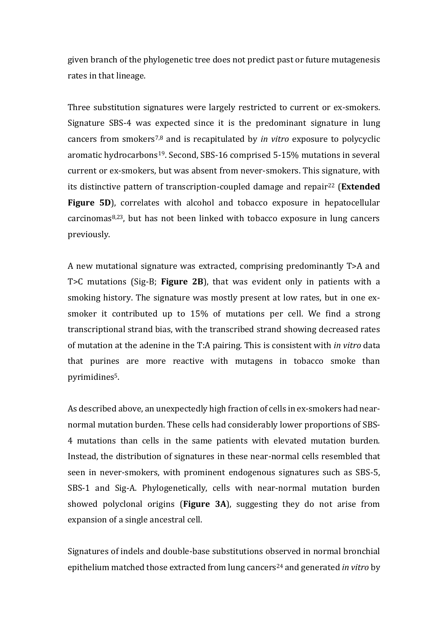given branch of the phylogenetic tree does not predict past or future mutagenesis rates in that lineage.

Three substitution signatures were largely restricted to current or ex-smokers. Signature SBS-4 was expected since it is the predominant signature in lung cancers from smokers7,8 and is recapitulated by *in vitro* exposure to polycyclic aromatic hydrocarbons19. Second, SBS-16 comprised 5-15% mutations in several current or ex-smokers, but was absent from never-smokers. This signature, with its distinctive pattern of transcription-coupled damage and repair<sup>22</sup> (**Extended Figure 5D**), correlates with alcohol and tobacco exposure in hepatocellular carcinomas8,23, but has not been linked with tobacco exposure in lung cancers previously.

A new mutational signature was extracted, comprising predominantly T>A and T>C mutations (Sig-B; **Figure 2B**), that was evident only in patients with a smoking history. The signature was mostly present at low rates, but in one exsmoker it contributed up to 15% of mutations per cell. We find a strong transcriptional strand bias, with the transcribed strand showing decreased rates of mutation at the adenine in the T:A pairing. This is consistent with *in vitro* data that purines are more reactive with mutagens in tobacco smoke than pyrimidines5.

As described above, an unexpectedly high fraction of cells in ex-smokers had nearnormal mutation burden. These cells had considerably lower proportions of SBS-4 mutations than cells in the same patients with elevated mutation burden. Instead, the distribution of signatures in these near-normal cells resembled that seen in never-smokers, with prominent endogenous signatures such as SBS-5, SBS-1 and Sig-A. Phylogenetically, cells with near-normal mutation burden showed polyclonal origins (**Figure 3A**), suggesting they do not arise from expansion of a single ancestral cell.

Signatures of indels and double-base substitutions observed in normal bronchial epithelium matched those extracted from lung cancers<sup>24</sup> and generated *in vitro* by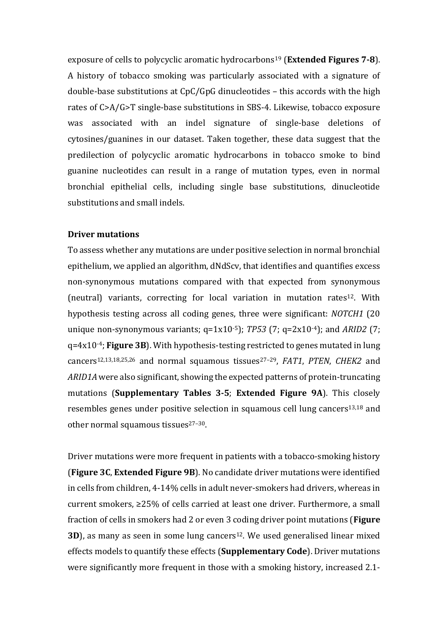exposure of cells to polycyclic aromatic hydrocarbons<sup>19</sup> (**Extended Figures 7-8**). A history of tobacco smoking was particularly associated with a signature of double-base substitutions at CpC/GpG dinucleotides – this accords with the high rates of C>A/G>T single-base substitutions in SBS-4. Likewise, tobacco exposure was associated with an indel signature of single-base deletions of cytosines/guanines in our dataset. Taken together, these data suggest that the predilection of polycyclic aromatic hydrocarbons in tobacco smoke to bind guanine nucleotides can result in a range of mutation types, even in normal bronchial epithelial cells, including single base substitutions, dinucleotide substitutions and small indels.

## **Driver mutations**

To assess whether any mutations are under positive selection in normal bronchial epithelium, we applied an algorithm, dNdScv, that identifies and quantifies excess non-synonymous mutations compared with that expected from synonymous (neutral) variants, correcting for local variation in mutation rates<sup>12</sup>. With hypothesis testing across all coding genes, three were significant: *NOTCH1* (20 unique non-synonymous variants; q=1x10-5); *TP53* (7; q=2x10-4); and *ARID2* (7; q=4x10-4; **Figure 3B**). With hypothesis-testing restricted to genes mutated in lung cancers12,13,18,25,26 and normal squamous tissues27–29, *FAT1*, *PTEN*, *CHEK2* and *ARID1A* were also significant, showing the expected patterns of protein-truncating mutations (**Supplementary Tables 3-5**; **Extended Figure 9A**). This closely resembles genes under positive selection in squamous cell lung cancers<sup>13,18</sup> and other normal squamous tissues $27-30$ .

Driver mutations were more frequent in patients with a tobacco-smoking history (**Figure 3C**, **Extended Figure 9B**). No candidate driver mutations were identified in cells from children, 4-14% cells in adult never-smokers had drivers, whereas in current smokers, ≥25% of cells carried at least one driver. Furthermore, a small fraction of cells in smokers had 2 or even 3 coding driver point mutations (**Figure 3D**), as many as seen in some lung cancers<sup>12</sup>. We used generalised linear mixed effects models to quantify these effects (**Supplementary Code**). Driver mutations were significantly more frequent in those with a smoking history, increased 2.1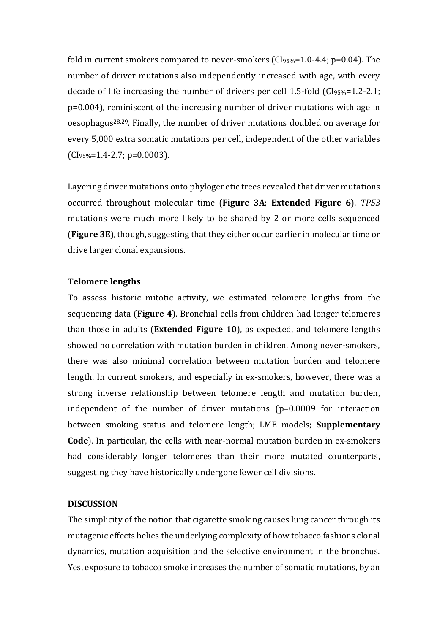fold in current smokers compared to never-smokers (CI95%=1.0-4.4; p=0.04). The number of driver mutations also independently increased with age, with every decade of life increasing the number of drivers per cell 1.5-fold (CI95%=1.2-2.1; p=0.004), reminiscent of the increasing number of driver mutations with age in oesophagus28,29. Finally, the number of driver mutations doubled on average for every 5,000 extra somatic mutations per cell, independent of the other variables  $(CI_{95\%}=1.4-2.7; p=0.0003).$ 

Layering driver mutations onto phylogenetic trees revealed that driver mutations occurred throughout molecular time (**Figure 3A**; **Extended Figure 6**). *TP53* mutations were much more likely to be shared by 2 or more cells sequenced (**Figure 3E**), though, suggesting that they either occur earlier in molecular time or drive larger clonal expansions.

#### **Telomere lengths**

To assess historic mitotic activity, we estimated telomere lengths from the sequencing data (**Figure 4**). Bronchial cells from children had longer telomeres than those in adults (**Extended Figure 10**), as expected, and telomere lengths showed no correlation with mutation burden in children. Among never-smokers, there was also minimal correlation between mutation burden and telomere length. In current smokers, and especially in ex-smokers, however, there was a strong inverse relationship between telomere length and mutation burden, independent of the number of driver mutations (p=0.0009 for interaction between smoking status and telomere length; LME models; **Supplementary Code**). In particular, the cells with near-normal mutation burden in ex-smokers had considerably longer telomeres than their more mutated counterparts, suggesting they have historically undergone fewer cell divisions.

#### **DISCUSSION**

The simplicity of the notion that cigarette smoking causes lung cancer through its mutagenic effects belies the underlying complexity of how tobacco fashions clonal dynamics, mutation acquisition and the selective environment in the bronchus. Yes, exposure to tobacco smoke increases the number of somatic mutations, by an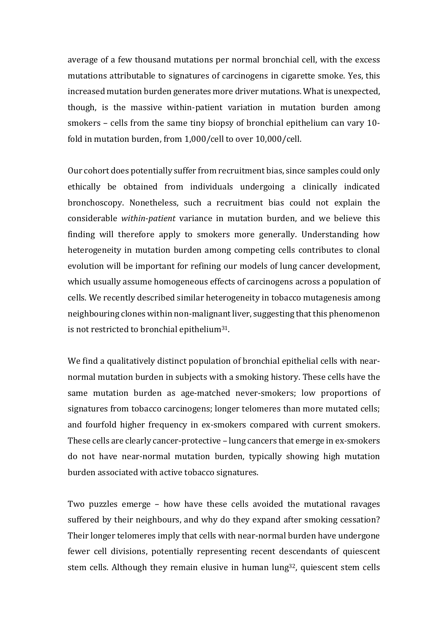average of a few thousand mutations per normal bronchial cell, with the excess mutations attributable to signatures of carcinogens in cigarette smoke. Yes, this increased mutation burden generates more driver mutations. What is unexpected, though, is the massive within-patient variation in mutation burden among smokers – cells from the same tiny biopsy of bronchial epithelium can vary 10 fold in mutation burden, from 1,000/cell to over 10,000/cell.

Our cohort does potentially suffer from recruitment bias, since samples could only ethically be obtained from individuals undergoing a clinically indicated bronchoscopy. Nonetheless, such a recruitment bias could not explain the considerable *within-patient* variance in mutation burden, and we believe this finding will therefore apply to smokers more generally. Understanding how heterogeneity in mutation burden among competing cells contributes to clonal evolution will be important for refining our models of lung cancer development, which usually assume homogeneous effects of carcinogens across a population of cells. We recently described similar heterogeneity in tobacco mutagenesis among neighbouring clones within non-malignant liver, suggesting that this phenomenon is not restricted to bronchial epithelium31.

We find a qualitatively distinct population of bronchial epithelial cells with nearnormal mutation burden in subjects with a smoking history. These cells have the same mutation burden as age-matched never-smokers; low proportions of signatures from tobacco carcinogens; longer telomeres than more mutated cells; and fourfold higher frequency in ex-smokers compared with current smokers. These cells are clearly cancer-protective – lung cancers that emerge in ex-smokers do not have near-normal mutation burden, typically showing high mutation burden associated with active tobacco signatures.

Two puzzles emerge – how have these cells avoided the mutational ravages suffered by their neighbours, and why do they expand after smoking cessation? Their longer telomeres imply that cells with near-normal burden have undergone fewer cell divisions, potentially representing recent descendants of quiescent stem cells. Although they remain elusive in human lung<sup>32</sup>, quiescent stem cells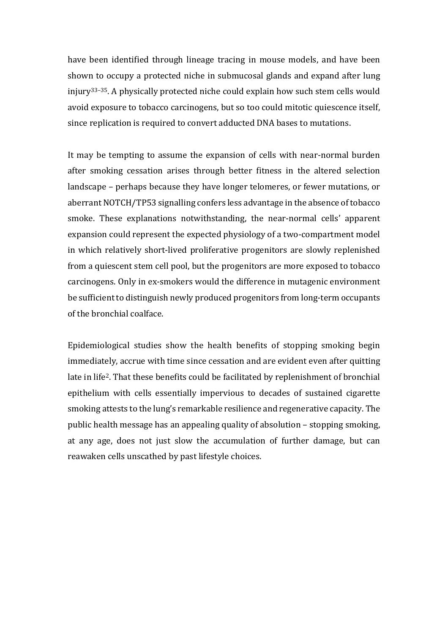have been identified through lineage tracing in mouse models, and have been shown to occupy a protected niche in submucosal glands and expand after lung injury33–35. A physically protected niche could explain how such stem cells would avoid exposure to tobacco carcinogens, but so too could mitotic quiescence itself, since replication is required to convert adducted DNA bases to mutations.

It may be tempting to assume the expansion of cells with near-normal burden after smoking cessation arises through better fitness in the altered selection landscape – perhaps because they have longer telomeres, or fewer mutations, or aberrant NOTCH/TP53 signalling confers less advantage in the absence of tobacco smoke. These explanations notwithstanding, the near-normal cells' apparent expansion could represent the expected physiology of a two-compartment model in which relatively short-lived proliferative progenitors are slowly replenished from a quiescent stem cell pool, but the progenitors are more exposed to tobacco carcinogens. Only in ex-smokers would the difference in mutagenic environment be sufficient to distinguish newly produced progenitors from long-term occupants of the bronchial coalface.

Epidemiological studies show the health benefits of stopping smoking begin immediately, accrue with time since cessation and are evident even after quitting late in life2. That these benefits could be facilitated by replenishment of bronchial epithelium with cells essentially impervious to decades of sustained cigarette smoking attests to the lung's remarkable resilience and regenerative capacity. The public health message has an appealing quality of absolution – stopping smoking, at any age, does not just slow the accumulation of further damage, but can reawaken cells unscathed by past lifestyle choices.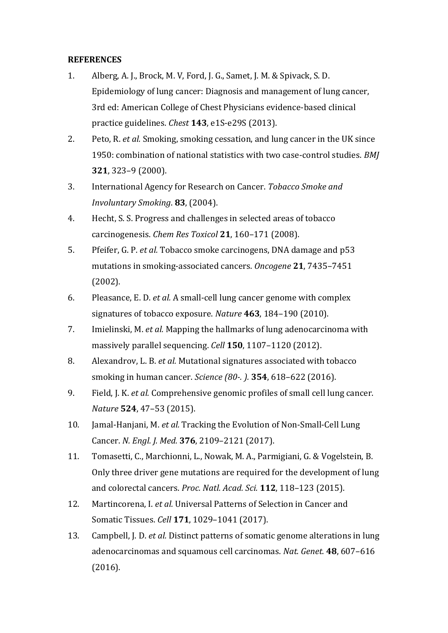# **REFERENCES**

- 1. Alberg, A. J., Brock, M. V, Ford, J. G., Samet, J. M. & Spivack, S. D. Epidemiology of lung cancer: Diagnosis and management of lung cancer, 3rd ed: American College of Chest Physicians evidence-based clinical practice guidelines. *Chest* **143**, e1S-e29S (2013).
- 2. Peto, R. *et al.* Smoking, smoking cessation, and lung cancer in the UK since 1950: combination of national statistics with two case-control studies. *BMJ* **321**, 323–9 (2000).
- 3. International Agency for Research on Cancer. *Tobacco Smoke and Involuntary Smoking*. **83**, (2004).
- 4. Hecht, S. S. Progress and challenges in selected areas of tobacco carcinogenesis. *Chem Res Toxicol* **21**, 160–171 (2008).
- 5. Pfeifer, G. P. *et al.* Tobacco smoke carcinogens, DNA damage and p53 mutations in smoking-associated cancers. *Oncogene* **21**, 7435–7451 (2002).
- 6. Pleasance, E. D. *et al.* A small-cell lung cancer genome with complex signatures of tobacco exposure. *Nature* **463**, 184–190 (2010).
- 7. Imielinski, M. *et al.* Mapping the hallmarks of lung adenocarcinoma with massively parallel sequencing. *Cell* **150**, 1107–1120 (2012).
- 8. Alexandrov, L. B. *et al.* Mutational signatures associated with tobacco smoking in human cancer. *Science (80-. ).* **354**, 618–622 (2016).
- 9. Field, J. K. *et al.* Comprehensive genomic profiles of small cell lung cancer. *Nature* **524**, 47–53 (2015).
- 10. Jamal-Hanjani, M. *et al.* Tracking the Evolution of Non-Small-Cell Lung Cancer. *N. Engl. J. Med.* **376**, 2109–2121 (2017).
- 11. Tomasetti, C., Marchionni, L., Nowak, M. A., Parmigiani, G. & Vogelstein, B. Only three driver gene mutations are required for the development of lung and colorectal cancers. *Proc. Natl. Acad. Sci.* **112**, 118–123 (2015).
- 12. Martincorena, I. *et al.* Universal Patterns of Selection in Cancer and Somatic Tissues. *Cell* **171**, 1029–1041 (2017).
- 13. Campbell, J. D. *et al.* Distinct patterns of somatic genome alterations in lung adenocarcinomas and squamous cell carcinomas. *Nat. Genet.* **48**, 607–616 (2016).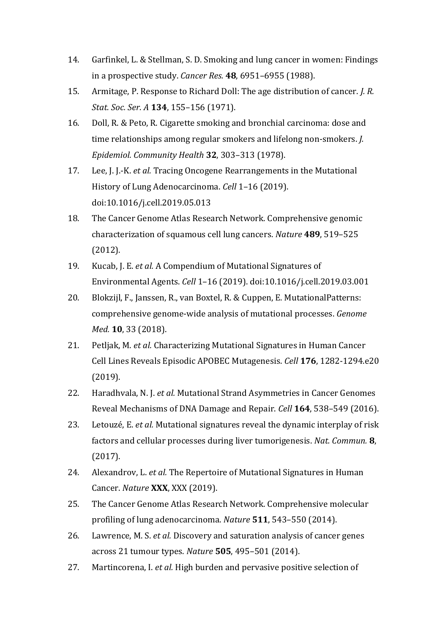- 14. Garfinkel, L. & Stellman, S. D. Smoking and lung cancer in women: Findings in a prospective study. *Cancer Res.* **48**, 6951–6955 (1988).
- 15. Armitage, P. Response to Richard Doll: The age distribution of cancer. *J. R. Stat. Soc. Ser. A* **134**, 155–156 (1971).
- 16. Doll, R. & Peto, R. Cigarette smoking and bronchial carcinoma: dose and time relationships among regular smokers and lifelong non-smokers. *J. Epidemiol. Community Health* **32**, 303–313 (1978).
- 17. Lee, J. J.-K. *et al.* Tracing Oncogene Rearrangements in the Mutational History of Lung Adenocarcinoma. *Cell* 1–16 (2019). doi:10.1016/j.cell.2019.05.013
- 18. The Cancer Genome Atlas Research Network. Comprehensive genomic characterization of squamous cell lung cancers. *Nature* **489**, 519–525 (2012).
- 19. Kucab, J. E. *et al.* A Compendium of Mutational Signatures of Environmental Agents. *Cell* 1–16 (2019). doi:10.1016/j.cell.2019.03.001
- 20. Blokzijl, F., Janssen, R., van Boxtel, R. & Cuppen, E. MutationalPatterns: comprehensive genome-wide analysis of mutational processes. *Genome Med.* **10**, 33 (2018).
- 21. Petljak, M. *et al.* Characterizing Mutational Signatures in Human Cancer Cell Lines Reveals Episodic APOBEC Mutagenesis. *Cell* **176**, 1282-1294.e20 (2019).
- 22. Haradhvala, N. J. *et al.* Mutational Strand Asymmetries in Cancer Genomes Reveal Mechanisms of DNA Damage and Repair. *Cell* **164**, 538–549 (2016).
- 23. Letouzé, E. *et al.* Mutational signatures reveal the dynamic interplay of risk factors and cellular processes during liver tumorigenesis. *Nat. Commun.* **8**, (2017).
- 24. Alexandrov, L. *et al.* The Repertoire of Mutational Signatures in Human Cancer. *Nature* **XXX**, XXX (2019).
- 25. The Cancer Genome Atlas Research Network. Comprehensive molecular profiling of lung adenocarcinoma. *Nature* **511**, 543–550 (2014).
- 26. Lawrence, M. S. *et al.* Discovery and saturation analysis of cancer genes across 21 tumour types. *Nature* **505**, 495–501 (2014).
- 27. Martincorena, I. *et al.* High burden and pervasive positive selection of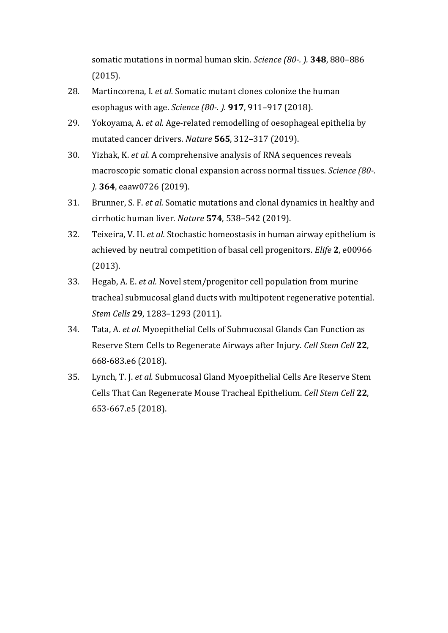somatic mutations in normal human skin. *Science (80-. ).* **348**, 880–886 (2015).

- 28. Martincorena, I. *et al.* Somatic mutant clones colonize the human esophagus with age. *Science (80-. ).* **917**, 911–917 (2018).
- 29. Yokoyama, A. *et al.* Age-related remodelling of oesophageal epithelia by mutated cancer drivers. *Nature* **565**, 312–317 (2019).
- 30. Yizhak, K. *et al.* A comprehensive analysis of RNA sequences reveals macroscopic somatic clonal expansion across normal tissues. *Science (80-. ).* **364**, eaaw0726 (2019).
- 31. Brunner, S. F. *et al.* Somatic mutations and clonal dynamics in healthy and cirrhotic human liver. *Nature* **574**, 538–542 (2019).
- 32. Teixeira, V. H. *et al.* Stochastic homeostasis in human airway epithelium is achieved by neutral competition of basal cell progenitors. *Elife* **2**, e00966 (2013).
- 33. Hegab, A. E. *et al.* Novel stem/progenitor cell population from murine tracheal submucosal gland ducts with multipotent regenerative potential. *Stem Cells* **29**, 1283–1293 (2011).
- 34. Tata, A. *et al.* Myoepithelial Cells of Submucosal Glands Can Function as Reserve Stem Cells to Regenerate Airways after Injury. *Cell Stem Cell* **22**, 668-683.e6 (2018).
- 35. Lynch, T. J. *et al.* Submucosal Gland Myoepithelial Cells Are Reserve Stem Cells That Can Regenerate Mouse Tracheal Epithelium. *Cell Stem Cell* **22**, 653-667.e5 (2018).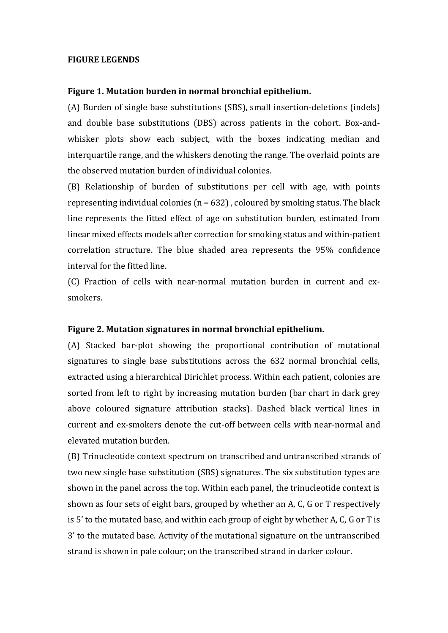#### **FIGURE LEGENDS**

#### **Figure 1. Mutation burden in normal bronchial epithelium.**

(A) Burden of single base substitutions (SBS), small insertion-deletions (indels) and double base substitutions (DBS) across patients in the cohort. Box-andwhisker plots show each subject, with the boxes indicating median and interquartile range, and the whiskers denoting the range. The overlaid points are the observed mutation burden of individual colonies.

(B) Relationship of burden of substitutions per cell with age, with points representing individual colonies ( $n = 632$ ), coloured by smoking status. The black line represents the fitted effect of age on substitution burden, estimated from linear mixed effects models after correction for smoking status and within-patient correlation structure. The blue shaded area represents the 95% confidence interval for the fitted line.

(C) Fraction of cells with near-normal mutation burden in current and exsmokers.

#### **Figure 2. Mutation signatures in normal bronchial epithelium.**

(A) Stacked bar-plot showing the proportional contribution of mutational signatures to single base substitutions across the 632 normal bronchial cells, extracted using a hierarchical Dirichlet process. Within each patient, colonies are sorted from left to right by increasing mutation burden (bar chart in dark grey above coloured signature attribution stacks). Dashed black vertical lines in current and ex-smokers denote the cut-off between cells with near-normal and elevated mutation burden.

(B) Trinucleotide context spectrum on transcribed and untranscribed strands of two new single base substitution (SBS) signatures. The six substitution types are shown in the panel across the top. Within each panel, the trinucleotide context is shown as four sets of eight bars, grouped by whether an A, C, G or T respectively is 5' to the mutated base, and within each group of eight by whether A, C, G or T is 3' to the mutated base. Activity of the mutational signature on the untranscribed strand is shown in pale colour; on the transcribed strand in darker colour.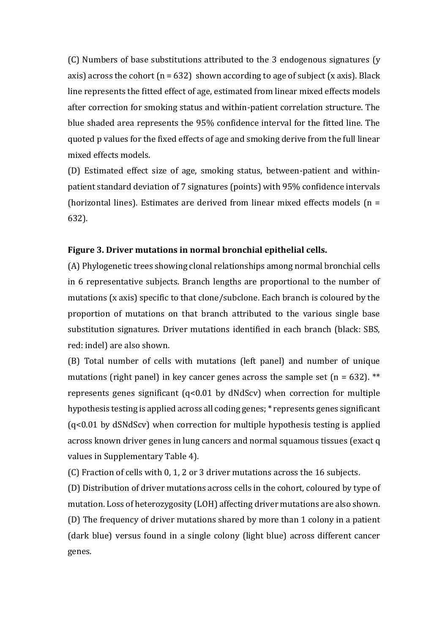(C) Numbers of base substitutions attributed to the 3 endogenous signatures (y axis) across the cohort ( $n = 632$ ) shown according to age of subject (x axis). Black line represents the fitted effect of age, estimated from linear mixed effects models after correction for smoking status and within-patient correlation structure. The blue shaded area represents the 95% confidence interval for the fitted line. The quoted p values for the fixed effects of age and smoking derive from the full linear mixed effects models.

(D) Estimated effect size of age, smoking status, between-patient and withinpatient standard deviation of 7 signatures (points) with 95% confidence intervals (horizontal lines). Estimates are derived from linear mixed effects models (n = 632).

#### **Figure 3. Driver mutations in normal bronchial epithelial cells.**

(A) Phylogenetic trees showing clonal relationships among normal bronchial cells in 6 representative subjects. Branch lengths are proportional to the number of mutations (x axis) specific to that clone/subclone. Each branch is coloured by the proportion of mutations on that branch attributed to the various single base substitution signatures. Driver mutations identified in each branch (black: SBS, red: indel) are also shown.

(B) Total number of cells with mutations (left panel) and number of unique mutations (right panel) in key cancer genes across the sample set ( $n = 632$ ). \*\* represents genes significant (q<0.01 by dNdScv) when correction for multiple hypothesis testing is applied across all coding genes; \* represents genes significant (q<0.01 by dSNdScv) when correction for multiple hypothesis testing is applied across known driver genes in lung cancers and normal squamous tissues (exact q values in Supplementary Table 4).

(C) Fraction of cells with 0, 1, 2 or 3 driver mutations across the 16 subjects.

(D) Distribution of driver mutations across cells in the cohort, coloured by type of mutation. Loss of heterozygosity (LOH) affecting driver mutations are also shown. (D) The frequency of driver mutations shared by more than 1 colony in a patient (dark blue) versus found in a single colony (light blue) across different cancer genes.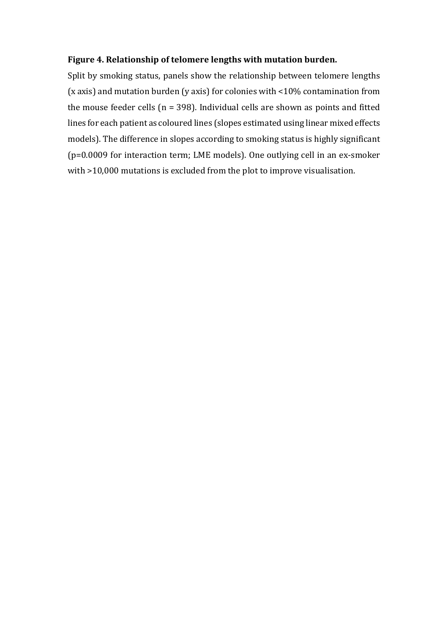## **Figure 4. Relationship of telomere lengths with mutation burden.**

Split by smoking status, panels show the relationship between telomere lengths (x axis) and mutation burden (y axis) for colonies with <10% contamination from the mouse feeder cells ( $n = 398$ ). Individual cells are shown as points and fitted lines for each patient as coloured lines (slopes estimated using linear mixed effects models). The difference in slopes according to smoking status is highly significant (p=0.0009 for interaction term; LME models). One outlying cell in an ex-smoker with >10,000 mutations is excluded from the plot to improve visualisation.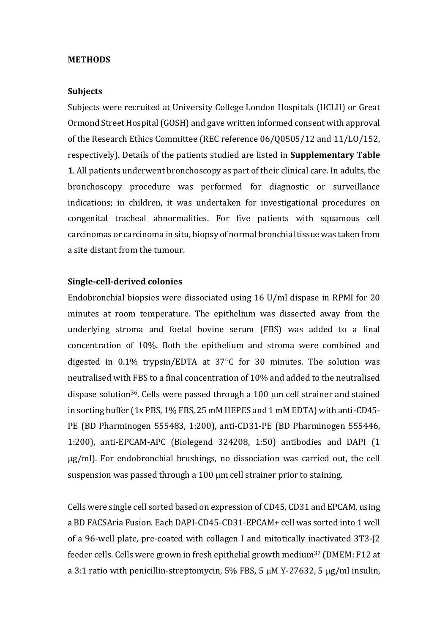#### **METHODS**

#### **Subjects**

Subjects were recruited at University College London Hospitals (UCLH) or Great Ormond Street Hospital (GOSH) and gave written informed consent with approval of the Research Ethics Committee (REC reference 06/Q0505/12 and 11/LO/152, respectively). Details of the patients studied are listed in **Supplementary Table 1**. All patients underwent bronchoscopy as part of their clinical care. In adults, the bronchoscopy procedure was performed for diagnostic or surveillance indications; in children, it was undertaken for investigational procedures on congenital tracheal abnormalities. For five patients with squamous cell carcinomas or carcinoma in situ, biopsy of normal bronchial tissue was taken from a site distant from the tumour.

#### **Single-cell-derived colonies**

Endobronchial biopsies were dissociated using 16 U/ml dispase in RPMI for 20 minutes at room temperature. The epithelium was dissected away from the underlying stroma and foetal bovine serum (FBS) was added to a final concentration of 10%. Both the epithelium and stroma were combined and digested in 0.1% trypsin/EDTA at 37 $\degree$ C for 30 minutes. The solution was neutralised with FBS to a final concentration of 10% and added to the neutralised dispase solution<sup>36</sup>. Cells were passed through a 100  $\mu$ m cell strainer and stained in sorting buffer (1x PBS, 1% FBS, 25 mM HEPES and 1 mM EDTA) with anti-CD45- PE (BD Pharminogen 555483, 1:200), anti-CD31-PE (BD Pharminogen 555446, 1:200), anti-EPCAM-APC (Biolegend 324208, 1:50) antibodies and DAPI (1 g/ml). For endobronchial brushings, no dissociation was carried out, the cell suspension was passed through a 100 µm cell strainer prior to staining.

Cells were single cell sorted based on expression of CD45, CD31 and EPCAM, using a BD FACSAria Fusion. Each DAPI-CD45-CD31-EPCAM+ cell was sorted into 1 well of a 96-well plate, pre-coated with collagen I and mitotically inactivated 3T3-J2 feeder cells. Cells were grown in fresh epithelial growth medium<sup>37</sup> (DMEM: F12 at a 3:1 ratio with penicillin-streptomycin,  $5\%$  FBS, 5  $\mu$ M Y-27632, 5  $\mu$ g/ml insulin,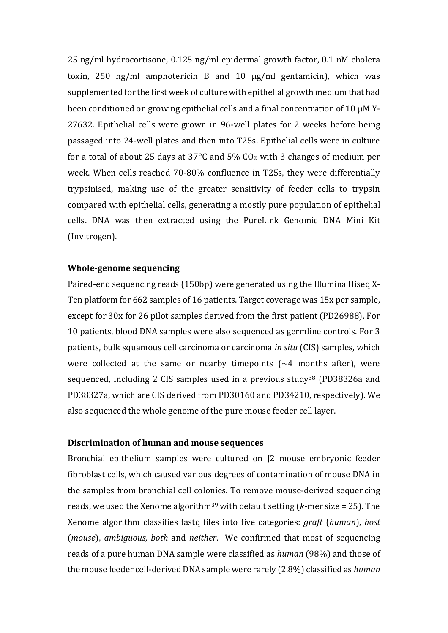25 ng/ml hydrocortisone, 0.125 ng/ml epidermal growth factor, 0.1 nM cholera toxin, 250 ng/ml amphotericin B and 10  $\mu$ g/ml gentamicin), which was supplemented for the first week of culture with epithelial growth medium that had been conditioned on growing epithelial cells and a final concentration of 10  $\mu$ M Y-27632. Epithelial cells were grown in 96-well plates for 2 weeks before being passaged into 24-well plates and then into T25s. Epithelial cells were in culture for a total of about 25 days at 37 $\degree$ C and 5% CO<sub>2</sub> with 3 changes of medium per week. When cells reached 70-80% confluence in T25s, they were differentially trypsinised, making use of the greater sensitivity of feeder cells to trypsin compared with epithelial cells, generating a mostly pure population of epithelial cells. DNA was then extracted using the PureLink Genomic DNA Mini Kit (Invitrogen).

#### **Whole-genome sequencing**

Paired-end sequencing reads (150bp) were generated using the Illumina Hiseq X-Ten platform for 662 samples of 16 patients. Target coverage was 15x per sample, except for 30x for 26 pilot samples derived from the first patient (PD26988). For 10 patients, blood DNA samples were also sequenced as germline controls. For 3 patients, bulk squamous cell carcinoma or carcinoma *in situ* (CIS) samples, which were collected at the same or nearby timepoints  $(\sim 4$  months after), were sequenced, including 2 CIS samples used in a previous study<sup>38</sup> (PD38326a and PD38327a, which are CIS derived from PD30160 and PD34210, respectively). We also sequenced the whole genome of the pure mouse feeder cell layer.

#### **Discrimination of human and mouse sequences**

Bronchial epithelium samples were cultured on J2 mouse embryonic feeder fibroblast cells, which caused various degrees of contamination of mouse DNA in the samples from bronchial cell colonies. To remove mouse-derived sequencing reads, we used the Xenome algorithm<sup>39</sup> with default setting ( $k$ -mer size = 25). The Xenome algorithm classifies fastq files into five categories: *graft* (*human*), *host* (*mouse*), *ambiguous*, *both* and *neither*. We confirmed that most of sequencing reads of a pure human DNA sample were classified as *human* (98%) and those of the mouse feeder cell-derived DNA sample were rarely (2.8%) classified as *human*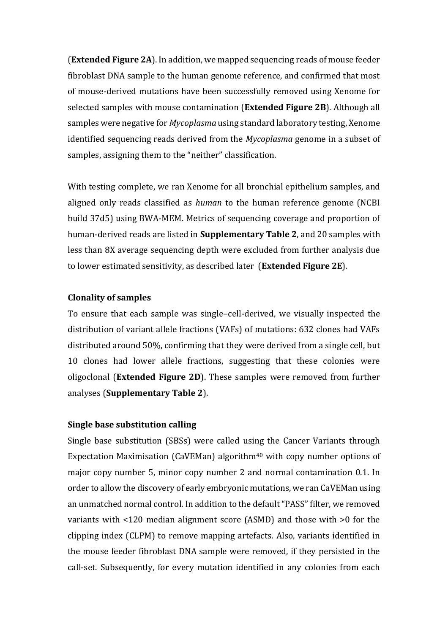(**Extended Figure 2A**). In addition, we mapped sequencing reads of mouse feeder fibroblast DNA sample to the human genome reference, and confirmed that most of mouse-derived mutations have been successfully removed using Xenome for selected samples with mouse contamination (**Extended Figure 2B**). Although all samples were negative for *Mycoplasma* using standard laboratory testing, Xenome identified sequencing reads derived from the *Mycoplasma* genome in a subset of samples, assigning them to the "neither" classification.

With testing complete, we ran Xenome for all bronchial epithelium samples, and aligned only reads classified as *human* to the human reference genome (NCBI build 37d5) using BWA-MEM. Metrics of sequencing coverage and proportion of human-derived reads are listed in **Supplementary Table 2**, and 20 samples with less than 8X average sequencing depth were excluded from further analysis due to lower estimated sensitivity, as described later (**Extended Figure 2E**).

# **Clonality of samples**

To ensure that each sample was single–cell-derived, we visually inspected the distribution of variant allele fractions (VAFs) of mutations: 632 clones had VAFs distributed around 50%, confirming that they were derived from a single cell, but 10 clones had lower allele fractions, suggesting that these colonies were oligoclonal (**Extended Figure 2D**). These samples were removed from further analyses (**Supplementary Table 2**).

# **Single base substitution calling**

Single base substitution (SBSs) were called using the Cancer Variants through Expectation Maximisation (CaVEMan) algorithm<sup>40</sup> with copy number options of major copy number 5, minor copy number 2 and normal contamination 0.1. In order to allow the discovery of early embryonic mutations, we ran CaVEMan using an unmatched normal control. In addition to the default "PASS" filter, we removed variants with <120 median alignment score (ASMD) and those with >0 for the clipping index (CLPM) to remove mapping artefacts. Also, variants identified in the mouse feeder fibroblast DNA sample were removed, if they persisted in the call-set. Subsequently, for every mutation identified in any colonies from each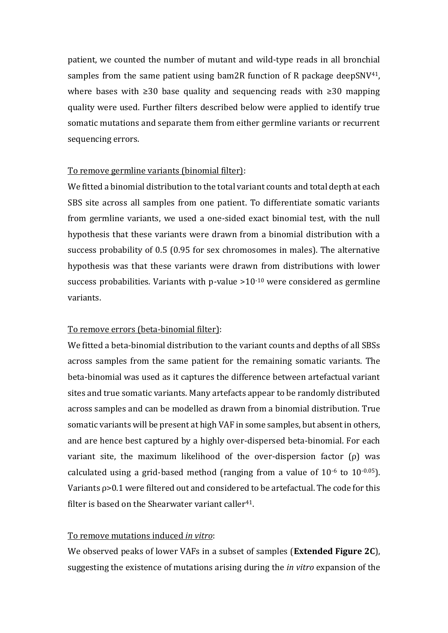patient, we counted the number of mutant and wild-type reads in all bronchial samples from the same patient using bam2R function of R package deepSNV $41$ , where bases with ≥30 base quality and sequencing reads with ≥30 mapping quality were used. Further filters described below were applied to identify true somatic mutations and separate them from either germline variants or recurrent sequencing errors.

### To remove germline variants (binomial filter):

We fitted a binomial distribution to the total variant counts and total depth at each SBS site across all samples from one patient. To differentiate somatic variants from germline variants, we used a one-sided exact binomial test, with the null hypothesis that these variants were drawn from a binomial distribution with a success probability of 0.5 (0.95 for sex chromosomes in males). The alternative hypothesis was that these variants were drawn from distributions with lower success probabilities. Variants with p-value  $>10^{-10}$  were considered as germline variants.

### To remove errors (beta-binomial filter):

We fitted a beta-binomial distribution to the variant counts and depths of all SBSs across samples from the same patient for the remaining somatic variants. The beta-binomial was used as it captures the difference between artefactual variant sites and true somatic variants. Many artefacts appear to be randomly distributed across samples and can be modelled as drawn from a binomial distribution. True somatic variants will be present at high VAF in some samples, but absent in others, and are hence best captured by a highly over-dispersed beta-binomial. For each variant site, the maximum likelihood of the over-dispersion factor  $(\rho)$  was calculated using a grid-based method (ranging from a value of  $10^{-6}$  to  $10^{-0.05}$ ). Variants ρ>0.1 were filtered out and considered to be artefactual. The code for this filter is based on the Shearwater variant caller<sup>41</sup>.

#### To remove mutations induced *in vitro*:

We observed peaks of lower VAFs in a subset of samples (**Extended Figure 2C**), suggesting the existence of mutations arising during the *in vitro* expansion of the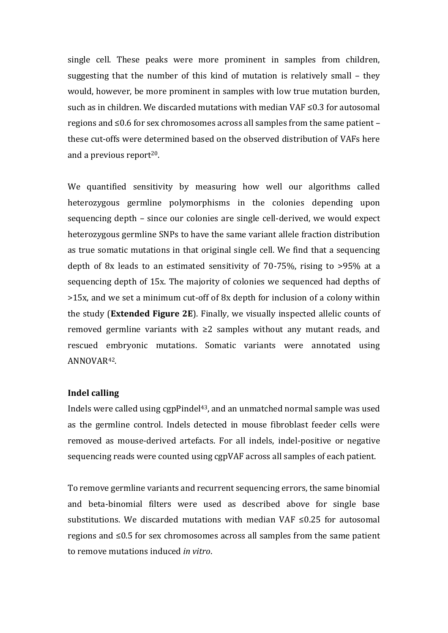single cell. These peaks were more prominent in samples from children, suggesting that the number of this kind of mutation is relatively small – they would, however, be more prominent in samples with low true mutation burden, such as in children. We discarded mutations with median VAF ≤0.3 for autosomal regions and ≤0.6 for sex chromosomes across all samples from the same patient – these cut-offs were determined based on the observed distribution of VAFs here and a previous report $20$ .

We quantified sensitivity by measuring how well our algorithms called heterozygous germline polymorphisms in the colonies depending upon sequencing depth – since our colonies are single cell-derived, we would expect heterozygous germline SNPs to have the same variant allele fraction distribution as true somatic mutations in that original single cell. We find that a sequencing depth of 8x leads to an estimated sensitivity of 70-75%, rising to >95% at a sequencing depth of 15x. The majority of colonies we sequenced had depths of >15x, and we set a minimum cut-off of 8x depth for inclusion of a colony within the study (**Extended Figure 2E**). Finally, we visually inspected allelic counts of removed germline variants with ≥2 samples without any mutant reads, and rescued embryonic mutations. Somatic variants were annotated using ANNOVAR42.

#### **Indel calling**

Indels were called using cgpPindel<sup>43</sup>, and an unmatched normal sample was used as the germline control. Indels detected in mouse fibroblast feeder cells were removed as mouse-derived artefacts. For all indels, indel-positive or negative sequencing reads were counted using cgpVAF across all samples of each patient.

To remove germline variants and recurrent sequencing errors, the same binomial and beta-binomial filters were used as described above for single base substitutions. We discarded mutations with median VAF ≤0.25 for autosomal regions and ≤0.5 for sex chromosomes across all samples from the same patient to remove mutations induced *in vitro*.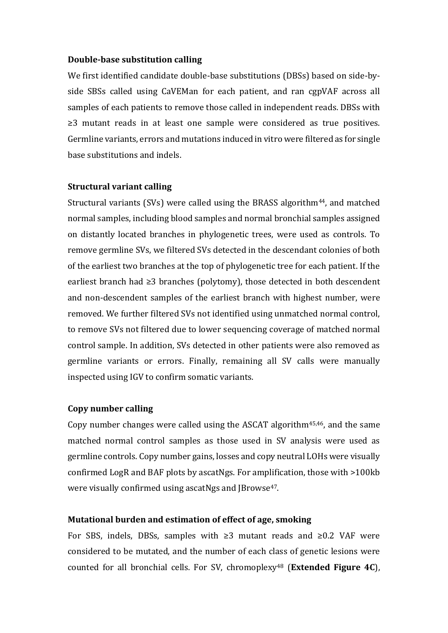#### **Double-base substitution calling**

We first identified candidate double-base substitutions (DBSs) based on side-byside SBSs called using CaVEMan for each patient, and ran cgpVAF across all samples of each patients to remove those called in independent reads. DBSs with ≥3 mutant reads in at least one sample were considered as true positives. Germline variants, errors and mutations induced in vitro were filtered as for single base substitutions and indels.

#### **Structural variant calling**

Structural variants (SVs) were called using the BRASS algorithm44, and matched normal samples, including blood samples and normal bronchial samples assigned on distantly located branches in phylogenetic trees, were used as controls. To remove germline SVs, we filtered SVs detected in the descendant colonies of both of the earliest two branches at the top of phylogenetic tree for each patient. If the earliest branch had ≥3 branches (polytomy), those detected in both descendent and non-descendent samples of the earliest branch with highest number, were removed. We further filtered SVs not identified using unmatched normal control, to remove SVs not filtered due to lower sequencing coverage of matched normal control sample. In addition, SVs detected in other patients were also removed as germline variants or errors. Finally, remaining all SV calls were manually inspected using IGV to confirm somatic variants.

#### **Copy number calling**

Copy number changes were called using the ASCAT algorithm45,46, and the same matched normal control samples as those used in SV analysis were used as germline controls. Copy number gains, losses and copy neutral LOHs were visually confirmed LogR and BAF plots by ascatNgs. For amplification, those with >100kb were visually confirmed using ascatNgs and JBrowse<sup>47</sup>.

#### **Mutational burden and estimation of effect of age, smoking**

For SBS, indels, DBSs, samples with ≥3 mutant reads and ≥0.2 VAF were considered to be mutated, and the number of each class of genetic lesions were counted for all bronchial cells. For SV, chromoplexy<sup>48</sup> (**Extended Figure 4C**),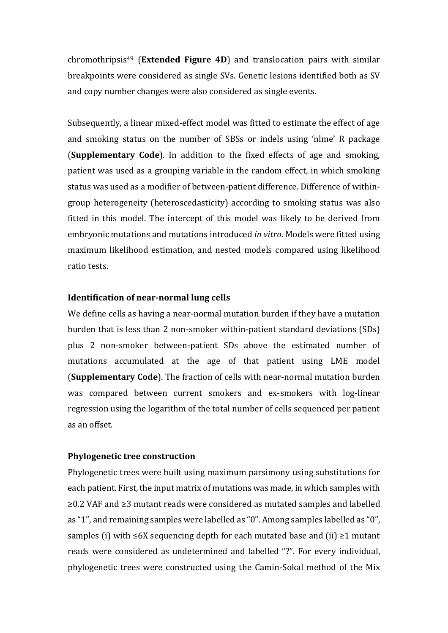chromothripsis<sup>49</sup> (**Extended Figure 4D**) and translocation pairs with similar breakpoints were considered as single SVs. Genetic lesions identified both as SV and copy number changes were also considered as single events.

Subsequently, a linear mixed-effect model was fitted to estimate the effect of age and smoking status on the number of SBSs or indels using 'nlme' R package (**Supplementary Code**). In addition to the fixed effects of age and smoking, patient was used as a grouping variable in the random effect, in which smoking status was used as a modifier of between-patient difference. Difference of withingroup heterogeneity (heteroscedasticity) according to smoking status was also fitted in this model. The intercept of this model was likely to be derived from embryonic mutations and mutations introduced *in vitro*. Models were fitted using maximum likelihood estimation, and nested models compared using likelihood ratio tests.

## **Identification of near-normal lung cells**

We define cells as having a near-normal mutation burden if they have a mutation burden that is less than 2 non-smoker within-patient standard deviations (SDs) plus 2 non-smoker between-patient SDs above the estimated number of mutations accumulated at the age of that patient using LME model (**Supplementary Code**). The fraction of cells with near-normal mutation burden was compared between current smokers and ex-smokers with log-linear regression using the logarithm of the total number of cells sequenced per patient as an offset.

## **Phylogenetic tree construction**

Phylogenetic trees were built using maximum parsimony using substitutions for each patient. First, the input matrix of mutations was made, in which samples with ≥0.2 VAF and ≥3 mutant reads were considered as mutated samples and labelled as "1", and remaining samples were labelled as "0". Among samples labelled as "0", samples (i) with ≤6X sequencing depth for each mutated base and (ii) ≥1 mutant reads were considered as undetermined and labelled "?". For every individual, phylogenetic trees were constructed using the Camin-Sokal method of the Mix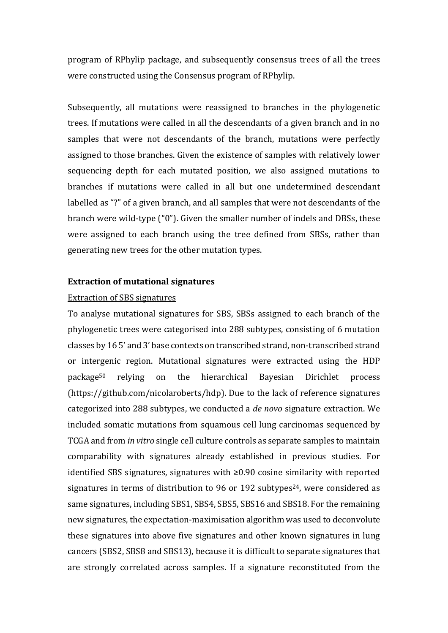program of RPhylip package, and subsequently consensus trees of all the trees were constructed using the Consensus program of RPhylip.

Subsequently, all mutations were reassigned to branches in the phylogenetic trees. If mutations were called in all the descendants of a given branch and in no samples that were not descendants of the branch, mutations were perfectly assigned to those branches. Given the existence of samples with relatively lower sequencing depth for each mutated position, we also assigned mutations to branches if mutations were called in all but one undetermined descendant labelled as "?" of a given branch, and all samples that were not descendants of the branch were wild-type ("0"). Given the smaller number of indels and DBSs, these were assigned to each branch using the tree defined from SBSs, rather than generating new trees for the other mutation types.

#### **Extraction of mutational signatures**

#### Extraction of SBS signatures

To analyse mutational signatures for SBS, SBSs assigned to each branch of the phylogenetic trees were categorised into 288 subtypes, consisting of 6 mutation classes by 16 5' and 3' base contexts on transcribed strand, non-transcribed strand or intergenic region. Mutational signatures were extracted using the HDP package<sup>50</sup> relying on the hierarchical Bayesian Dirichlet process (https://github.com/nicolaroberts/hdp). Due to the lack of reference signatures categorized into 288 subtypes, we conducted a *de novo* signature extraction. We included somatic mutations from squamous cell lung carcinomas sequenced by TCGA and from *in vitro* single cell culture controls as separate samples to maintain comparability with signatures already established in previous studies. For identified SBS signatures, signatures with ≥0.90 cosine similarity with reported signatures in terms of distribution to 96 or 192 subtypes<sup>24</sup>, were considered as same signatures, including SBS1, SBS4, SBS5, SBS16 and SBS18. For the remaining new signatures, the expectation-maximisation algorithm was used to deconvolute these signatures into above five signatures and other known signatures in lung cancers (SBS2, SBS8 and SBS13), because it is difficult to separate signatures that are strongly correlated across samples. If a signature reconstituted from the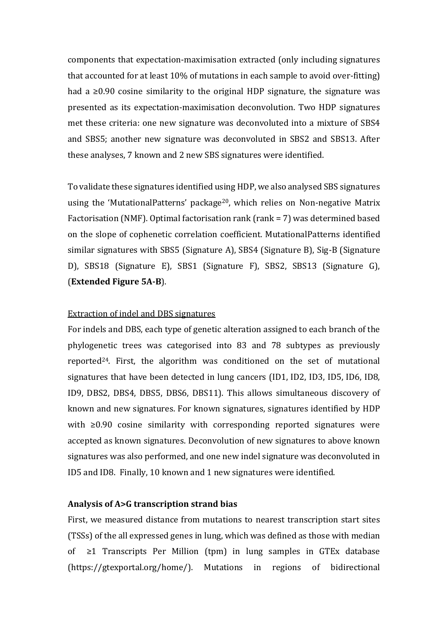components that expectation-maximisation extracted (only including signatures that accounted for at least 10% of mutations in each sample to avoid over-fitting) had a ≥0.90 cosine similarity to the original HDP signature, the signature was presented as its expectation-maximisation deconvolution. Two HDP signatures met these criteria: one new signature was deconvoluted into a mixture of SBS4 and SBS5; another new signature was deconvoluted in SBS2 and SBS13. After these analyses, 7 known and 2 new SBS signatures were identified.

To validate these signatures identified using HDP, we also analysed SBS signatures using the 'MutationalPatterns' package<sup>20</sup>, which relies on Non-negative Matrix Factorisation (NMF). Optimal factorisation rank (rank = 7) was determined based on the slope of cophenetic correlation coefficient. MutationalPatterns identified similar signatures with SBS5 (Signature A), SBS4 (Signature B), Sig-B (Signature D), SBS18 (Signature E), SBS1 (Signature F), SBS2, SBS13 (Signature G), (**Extended Figure 5A-B**).

#### Extraction of indel and DBS signatures

For indels and DBS, each type of genetic alteration assigned to each branch of the phylogenetic trees was categorised into 83 and 78 subtypes as previously reported24. First, the algorithm was conditioned on the set of mutational signatures that have been detected in lung cancers (ID1, ID2, ID3, ID5, ID6, ID8, ID9, DBS2, DBS4, DBS5, DBS6, DBS11). This allows simultaneous discovery of known and new signatures. For known signatures, signatures identified by HDP with ≥0.90 cosine similarity with corresponding reported signatures were accepted as known signatures. Deconvolution of new signatures to above known signatures was also performed, and one new indel signature was deconvoluted in ID5 and ID8. Finally, 10 known and 1 new signatures were identified.

#### **Analysis of A>G transcription strand bias**

First, we measured distance from mutations to nearest transcription start sites (TSSs) of the all expressed genes in lung, which was defined as those with median of ≥1 Transcripts Per Million (tpm) in lung samples in GTEx database (https://gtexportal.org/home/). Mutations in regions of bidirectional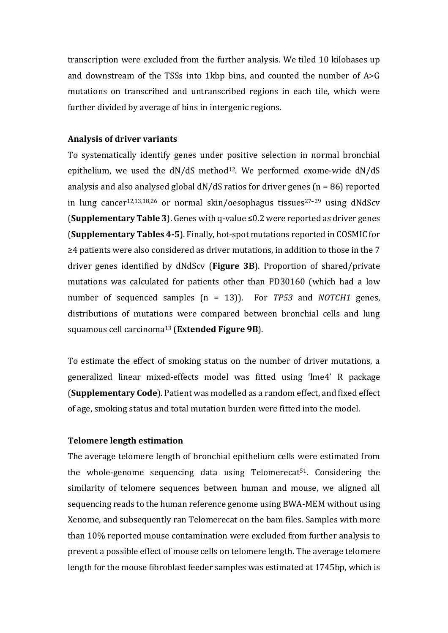transcription were excluded from the further analysis. We tiled 10 kilobases up and downstream of the TSSs into 1kbp bins, and counted the number of A>G mutations on transcribed and untranscribed regions in each tile, which were further divided by average of bins in intergenic regions.

#### **Analysis of driver variants**

To systematically identify genes under positive selection in normal bronchial epithelium, we used the dN/dS method<sup>12</sup>. We performed exome-wide dN/dS analysis and also analysed global dN/dS ratios for driver genes (n = 86) reported in lung cancer<sup>12,13,18,26</sup> or normal skin/oesophagus tissues<sup>27-29</sup> using dNdScv (**Supplementary Table 3**). Genes with q-value ≤0.2 were reported as driver genes (**Supplementary Tables 4-5**). Finally, hot-spot mutations reported in COSMIC for ≥4 patients were also considered as driver mutations, in addition to those in the 7 driver genes identified by dNdScv (**Figure 3B**). Proportion of shared/private mutations was calculated for patients other than PD30160 (which had a low number of sequenced samples (n = 13)). For *TP53* and *NOTCH1* genes, distributions of mutations were compared between bronchial cells and lung squamous cell carcinoma<sup>13</sup> (**Extended Figure 9B**).

To estimate the effect of smoking status on the number of driver mutations, a generalized linear mixed-effects model was fitted using 'lme4' R package (**Supplementary Code**). Patient was modelled as a random effect, and fixed effect of age, smoking status and total mutation burden were fitted into the model.

#### **Telomere length estimation**

The average telomere length of bronchial epithelium cells were estimated from the whole-genome sequencing data using Telomerecat51. Considering the similarity of telomere sequences between human and mouse, we aligned all sequencing reads to the human reference genome using BWA-MEM without using Xenome, and subsequently ran Telomerecat on the bam files. Samples with more than 10% reported mouse contamination were excluded from further analysis to prevent a possible effect of mouse cells on telomere length. The average telomere length for the mouse fibroblast feeder samples was estimated at 1745bp, which is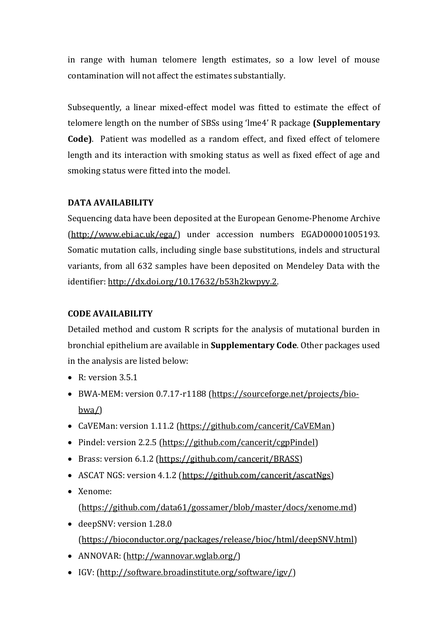in range with human telomere length estimates, so a low level of mouse contamination will not affect the estimates substantially.

Subsequently, a linear mixed-effect model was fitted to estimate the effect of telomere length on the number of SBSs using 'lme4' R package **(Supplementary Code)**. Patient was modelled as a random effect, and fixed effect of telomere length and its interaction with smoking status as well as fixed effect of age and smoking status were fitted into the model.

# **DATA AVAILABILITY**

Sequencing data have been deposited at the European Genome-Phenome Archive [\(http://www.ebi.ac.uk/ega/\)](http://www.ebi.ac.uk/ega/) under accession numbers EGAD00001005193. Somatic mutation calls, including single base substitutions, indels and structural variants, from all 632 samples have been deposited on Mendeley Data with the identifier: [http://dx.doi.org/10.17632/b53h2kwpyy.2.](http://dx.doi.org/10.17632/b53h2kwpyy.2)

# **CODE AVAILABILITY**

Detailed method and custom R scripts for the analysis of mutational burden in bronchial epithelium are available in **Supplementary Code**. Other packages used in the analysis are listed below:

- $\bullet$  R: version 3.5.1
- BWA-MEM: version 0.7.17-r1188 [\(https://sourceforge.net/projects/bio](https://sourceforge.net/projects/bio-bwa/)[bwa/\)](https://sourceforge.net/projects/bio-bwa/)
- CaVEMan: version 1.11.2 [\(https://github.com/cancerit/CaVEMan\)](https://github.com/cancerit/CaVEMan)
- Pindel: version 2.2.5 [\(https://github.com/cancerit/cgpPindel\)](https://github.com/cancerit/cgpPindel)
- Brass: version 6.1.2 [\(https://github.com/cancerit/BRASS\)](https://github.com/cancerit/BRASS)
- ASCAT NGS: version 4.1.2 [\(https://github.com/cancerit/ascatNgs\)](https://github.com/cancerit/ascatNgs)
- Xenome:

[\(https://github.com/data61/gossamer/blob/master/docs/xenome.md\)](https://github.com/data61/gossamer/blob/master/docs/xenome.md)

- deepSNV: version 1.28.0 [\(https://bioconductor.org/packages/release/bioc/html/deepSNV.html\)](https://bioconductor.org/packages/release/bioc/html/deepSNV.html)
- ANNOVAR: [\(http://wannovar.wglab.org/\)](http://wannovar.wglab.org/)
- IGV: [\(http://software.broadinstitute.org/software/igv/\)](http://software.broadinstitute.org/software/igv/)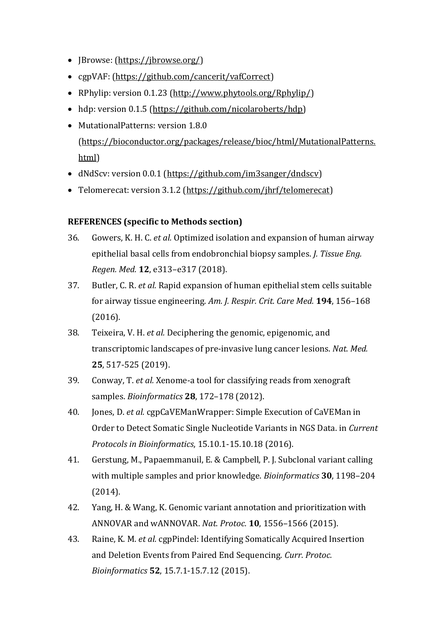- JBrowse: [\(https://jbrowse.org/\)](https://jbrowse.org/)
- cgpVAF: [\(https://github.com/cancerit/vafCorrect\)](https://github.com/cancerit/vafCorrect)
- RPhylip: version 0.1.23 [\(http://www.phytools.org/Rphylip/\)](http://www.phytools.org/Rphylip/)
- hdp: version 0.1.5 [\(https://github.com/nicolaroberts/hdp\)](https://github.com/nicolaroberts/hdp)
- MutationalPatterns: version 1.8.0 [\(https://bioconductor.org/packages/release/bioc/html/MutationalPatterns.](https://bioconductor.org/packages/release/bioc/html/MutationalPatterns.html) [html\)](https://bioconductor.org/packages/release/bioc/html/MutationalPatterns.html)
- dNdScv: version 0.0.1 [\(https://github.com/im3sanger/dndscv\)](https://github.com/im3sanger/dndscv)
- Telomerecat: version 3.1.2 [\(https://github.com/jhrf/telomerecat\)](https://github.com/jhrf/telomerecat)

# **REFERENCES (specific to Methods section)**

- 36. Gowers, K. H. C. *et al.* Optimized isolation and expansion of human airway epithelial basal cells from endobronchial biopsy samples. *J. Tissue Eng. Regen. Med.* **12**, e313–e317 (2018).
- 37. Butler, C. R. *et al.* Rapid expansion of human epithelial stem cells suitable for airway tissue engineering. *Am. J. Respir. Crit. Care Med.* **194**, 156–168 (2016).
- 38. Teixeira, V. H. *et al.* Deciphering the genomic, epigenomic, and transcriptomic landscapes of pre-invasive lung cancer lesions. *Nat. Med.* **25**, 517-525 (2019).
- 39. Conway, T. *et al.* Xenome-a tool for classifying reads from xenograft samples. *Bioinformatics* **28**, 172–178 (2012).
- 40. Jones, D. *et al.* cgpCaVEManWrapper: Simple Execution of CaVEMan in Order to Detect Somatic Single Nucleotide Variants in NGS Data. in *Current Protocols in Bioinformatics*, 15.10.1-15.10.18 (2016).
- 41. Gerstung, M., Papaemmanuil, E. & Campbell, P. J. Subclonal variant calling with multiple samples and prior knowledge. *Bioinformatics* **30**, 1198–204 (2014).
- 42. Yang, H. & Wang, K. Genomic variant annotation and prioritization with ANNOVAR and wANNOVAR. *Nat. Protoc.* **10**, 1556–1566 (2015).
- 43. Raine, K. M. *et al.* cgpPindel: Identifying Somatically Acquired Insertion and Deletion Events from Paired End Sequencing. *Curr. Protoc. Bioinformatics* **52**, 15.7.1-15.7.12 (2015).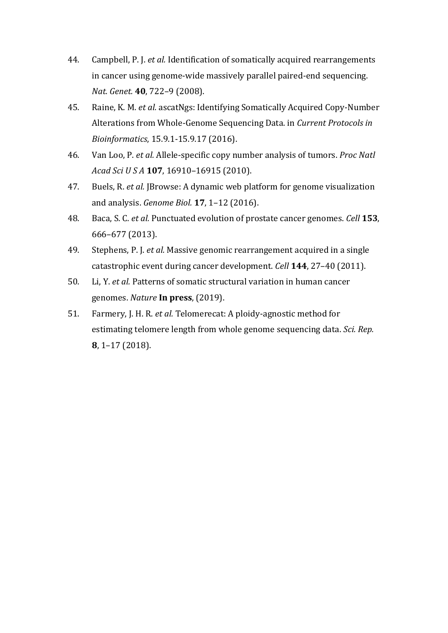- 44. Campbell, P. J. *et al.* Identification of somatically acquired rearrangements in cancer using genome-wide massively parallel paired-end sequencing. *Nat. Genet.* **40**, 722–9 (2008).
- 45. Raine, K. M. *et al.* ascatNgs: Identifying Somatically Acquired Copy-Number Alterations from Whole-Genome Sequencing Data. in *Current Protocols in Bioinformatics*, 15.9.1-15.9.17 (2016).
- 46. Van Loo, P. *et al.* Allele-specific copy number analysis of tumors. *Proc Natl Acad Sci U S A* **107**, 16910–16915 (2010).
- 47. Buels, R. *et al.* JBrowse: A dynamic web platform for genome visualization and analysis. *Genome Biol.* **17**, 1–12 (2016).
- 48. Baca, S. C. *et al.* Punctuated evolution of prostate cancer genomes. *Cell* **153**, 666–677 (2013).
- 49. Stephens, P. J. *et al.* Massive genomic rearrangement acquired in a single catastrophic event during cancer development. *Cell* **144**, 27–40 (2011).
- 50. Li, Y. *et al.* Patterns of somatic structural variation in human cancer genomes. *Nature* **In press**, (2019).
- 51. Farmery, J. H. R. *et al.* Telomerecat: A ploidy-agnostic method for estimating telomere length from whole genome sequencing data. *Sci. Rep.* **8**, 1–17 (2018).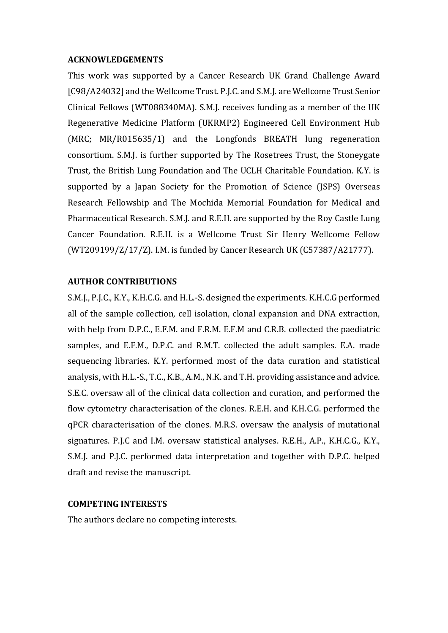#### **ACKNOWLEDGEMENTS**

This work was supported by a Cancer Research UK Grand Challenge Award [C98/A24032] and the Wellcome Trust. P.J.C. and S.M.J. are Wellcome Trust Senior Clinical Fellows (WT088340MA). S.M.J. receives funding as a member of the UK Regenerative Medicine Platform (UKRMP2) Engineered Cell Environment Hub (MRC; MR/R015635/1) and the Longfonds BREATH lung regeneration consortium. S.M.J. is further supported by The Rosetrees Trust, the Stoneygate Trust, the British Lung Foundation and The UCLH Charitable Foundation. K.Y. is supported by a Japan Society for the Promotion of Science (JSPS) Overseas Research Fellowship and The Mochida Memorial Foundation for Medical and Pharmaceutical Research. S.M.J. and R.E.H. are supported by the Roy Castle Lung Cancer Foundation. R.E.H. is a Wellcome Trust Sir Henry Wellcome Fellow (WT209199/Z/17/Z). I.M. is funded by Cancer Research UK (C57387/A21777).

### **AUTHOR CONTRIBUTIONS**

S.M.J., P.J.C., K.Y., K.H.C.G. and H.L.-S. designed the experiments. K.H.C.G performed all of the sample collection, cell isolation, clonal expansion and DNA extraction, with help from D.P.C., E.F.M. and F.R.M. E.F.M and C.R.B. collected the paediatric samples, and E.F.M., D.P.C. and R.M.T. collected the adult samples. E.A. made sequencing libraries. K.Y. performed most of the data curation and statistical analysis, with H.L.-S., T.C., K.B., A.M., N.K. and T.H. providing assistance and advice. S.E.C. oversaw all of the clinical data collection and curation, and performed the flow cytometry characterisation of the clones. R.E.H. and K.H.C.G. performed the qPCR characterisation of the clones. M.R.S. oversaw the analysis of mutational signatures. P.J.C and I.M. oversaw statistical analyses. R.E.H., A.P., K.H.C.G., K.Y., S.M.J. and P.J.C. performed data interpretation and together with D.P.C. helped draft and revise the manuscript.

## **COMPETING INTERESTS**

The authors declare no competing interests.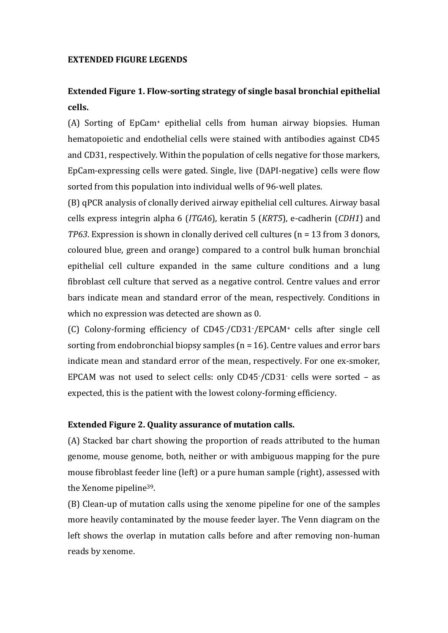#### **EXTENDED FIGURE LEGENDS**

# **Extended Figure 1. Flow-sorting strategy of single basal bronchial epithelial cells.**

(A) Sorting of EpCam<sup>+</sup> epithelial cells from human airway biopsies. Human hematopoietic and endothelial cells were stained with antibodies against CD45 and CD31, respectively. Within the population of cells negative for those markers, EpCam-expressing cells were gated. Single, live (DAPI-negative) cells were flow sorted from this population into individual wells of 96-well plates.

(B) qPCR analysis of clonally derived airway epithelial cell cultures. Airway basal cells express integrin alpha 6 (*ITGA6*), keratin 5 (*KRT5*), e-cadherin (*CDH1*) and *TP63*. Expression is shown in clonally derived cell cultures (n = 13 from 3 donors, coloured blue, green and orange) compared to a control bulk human bronchial epithelial cell culture expanded in the same culture conditions and a lung fibroblast cell culture that served as a negative control. Centre values and error bars indicate mean and standard error of the mean, respectively. Conditions in which no expression was detected are shown as 0.

(C) Colony-forming efficiency of CD45-/CD31-/EPCAM<sup>+</sup> cells after single cell sorting from endobronchial biopsy samples (n = 16). Centre values and error bars indicate mean and standard error of the mean, respectively. For one ex-smoker, EPCAM was not used to select cells: only CD45-/CD31- cells were sorted – as expected, this is the patient with the lowest colony-forming efficiency.

## **Extended Figure 2. Quality assurance of mutation calls.**

(A) Stacked bar chart showing the proportion of reads attributed to the human genome, mouse genome, both, neither or with ambiguous mapping for the pure mouse fibroblast feeder line (left) or a pure human sample (right), assessed with the Xenome pipeline39.

(B) Clean-up of mutation calls using the xenome pipeline for one of the samples more heavily contaminated by the mouse feeder layer. The Venn diagram on the left shows the overlap in mutation calls before and after removing non-human reads by xenome.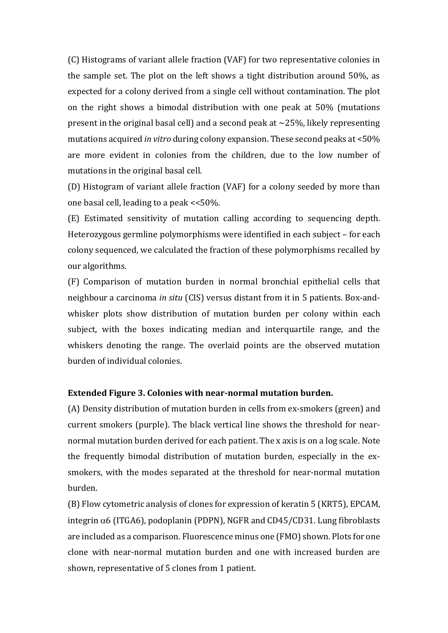(C) Histograms of variant allele fraction (VAF) for two representative colonies in the sample set. The plot on the left shows a tight distribution around 50%, as expected for a colony derived from a single cell without contamination. The plot on the right shows a bimodal distribution with one peak at 50% (mutations present in the original basal cell) and a second peak at  $\sim$ 25%, likely representing mutations acquired *in vitro* during colony expansion. These second peaks at <50% are more evident in colonies from the children, due to the low number of mutations in the original basal cell.

(D) Histogram of variant allele fraction (VAF) for a colony seeded by more than one basal cell, leading to a peak <<50%.

(E) Estimated sensitivity of mutation calling according to sequencing depth. Heterozygous germline polymorphisms were identified in each subject – for each colony sequenced, we calculated the fraction of these polymorphisms recalled by our algorithms.

(F) Comparison of mutation burden in normal bronchial epithelial cells that neighbour a carcinoma *in situ* (CIS) versus distant from it in 5 patients. Box-andwhisker plots show distribution of mutation burden per colony within each subject, with the boxes indicating median and interquartile range, and the whiskers denoting the range. The overlaid points are the observed mutation burden of individual colonies.

### **Extended Figure 3. Colonies with near-normal mutation burden.**

(A) Density distribution of mutation burden in cells from ex-smokers (green) and current smokers (purple). The black vertical line shows the threshold for nearnormal mutation burden derived for each patient. The x axis is on a log scale. Note the frequently bimodal distribution of mutation burden, especially in the exsmokers, with the modes separated at the threshold for near-normal mutation burden.

(B) Flow cytometric analysis of clones for expression of keratin 5 (KRT5), EPCAM, integrin  $\alpha$ 6 (ITGA6), podoplanin (PDPN), NGFR and CD45/CD31. Lung fibroblasts are included as a comparison. Fluorescence minus one (FMO) shown. Plots for one clone with near-normal mutation burden and one with increased burden are shown, representative of 5 clones from 1 patient.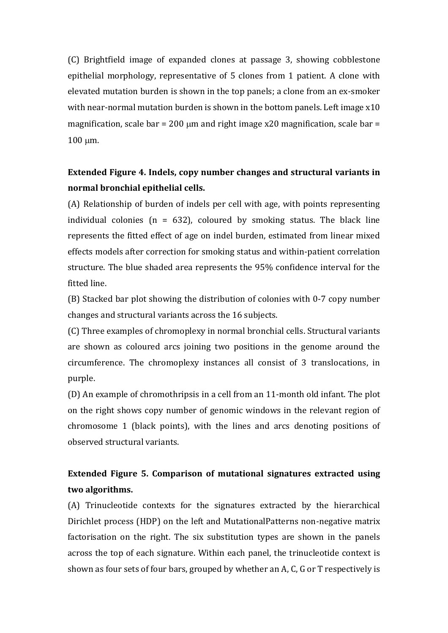(C) Brightfield image of expanded clones at passage 3, showing cobblestone epithelial morphology, representative of 5 clones from 1 patient. A clone with elevated mutation burden is shown in the top panels; a clone from an ex-smoker with near-normal mutation burden is shown in the bottom panels. Left image x10 magnification, scale bar = 200  $\mu$ m and right image x20 magnification, scale bar =  $100 \mu m$ .

# **Extended Figure 4. Indels, copy number changes and structural variants in normal bronchial epithelial cells.**

(A) Relationship of burden of indels per cell with age, with points representing individual colonies ( $n = 632$ ), coloured by smoking status. The black line represents the fitted effect of age on indel burden, estimated from linear mixed effects models after correction for smoking status and within-patient correlation structure. The blue shaded area represents the 95% confidence interval for the fitted line.

(B) Stacked bar plot showing the distribution of colonies with 0-7 copy number changes and structural variants across the 16 subjects.

(C) Three examples of chromoplexy in normal bronchial cells. Structural variants are shown as coloured arcs joining two positions in the genome around the circumference. The chromoplexy instances all consist of 3 translocations, in purple.

(D) An example of chromothripsis in a cell from an 11-month old infant. The plot on the right shows copy number of genomic windows in the relevant region of chromosome 1 (black points), with the lines and arcs denoting positions of observed structural variants.

# **Extended Figure 5. Comparison of mutational signatures extracted using two algorithms.**

(A) Trinucleotide contexts for the signatures extracted by the hierarchical Dirichlet process (HDP) on the left and MutationalPatterns non-negative matrix factorisation on the right. The six substitution types are shown in the panels across the top of each signature. Within each panel, the trinucleotide context is shown as four sets of four bars, grouped by whether an A, C, G or T respectively is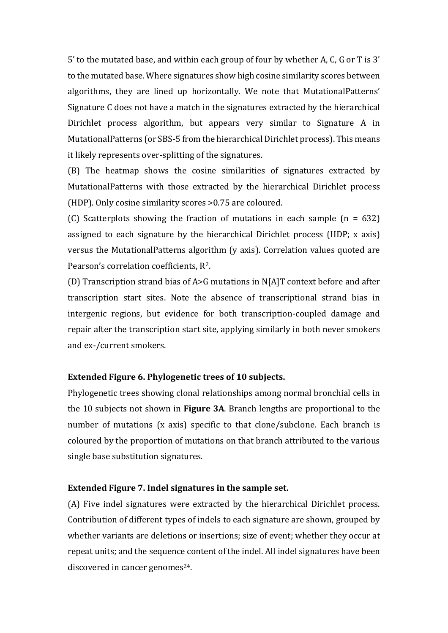5' to the mutated base, and within each group of four by whether A, C, G or T is 3' to the mutated base. Where signatures show high cosine similarity scores between algorithms, they are lined up horizontally. We note that MutationalPatterns' Signature C does not have a match in the signatures extracted by the hierarchical Dirichlet process algorithm, but appears very similar to Signature A in MutationalPatterns (or SBS-5 from the hierarchical Dirichlet process). This means it likely represents over-splitting of the signatures.

(B) The heatmap shows the cosine similarities of signatures extracted by MutationalPatterns with those extracted by the hierarchical Dirichlet process (HDP). Only cosine similarity scores >0.75 are coloured.

(C) Scatterplots showing the fraction of mutations in each sample  $(n = 632)$ assigned to each signature by the hierarchical Dirichlet process (HDP; x axis) versus the MutationalPatterns algorithm (y axis). Correlation values quoted are Pearson's correlation coefficients, R2.

(D) Transcription strand bias of A>G mutations in N[A]T context before and after transcription start sites. Note the absence of transcriptional strand bias in intergenic regions, but evidence for both transcription-coupled damage and repair after the transcription start site, applying similarly in both never smokers and ex-/current smokers.

## **Extended Figure 6. Phylogenetic trees of 10 subjects.**

Phylogenetic trees showing clonal relationships among normal bronchial cells in the 10 subjects not shown in **Figure 3A**. Branch lengths are proportional to the number of mutations (x axis) specific to that clone/subclone. Each branch is coloured by the proportion of mutations on that branch attributed to the various single base substitution signatures.

#### **Extended Figure 7. Indel signatures in the sample set.**

(A) Five indel signatures were extracted by the hierarchical Dirichlet process. Contribution of different types of indels to each signature are shown, grouped by whether variants are deletions or insertions; size of event; whether they occur at repeat units; and the sequence content of the indel. All indel signatures have been discovered in cancer genomes<sup>24</sup>.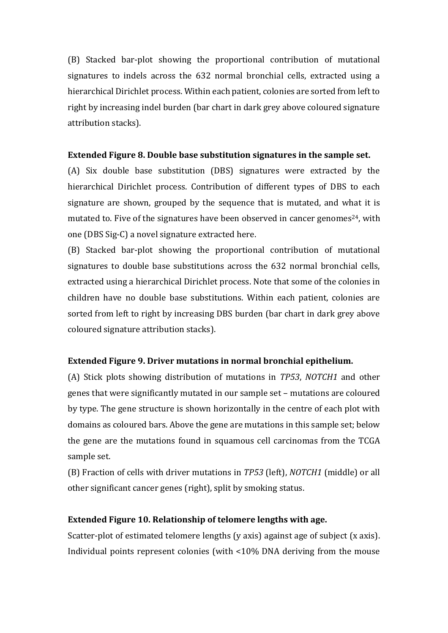(B) Stacked bar-plot showing the proportional contribution of mutational signatures to indels across the 632 normal bronchial cells, extracted using a hierarchical Dirichlet process. Within each patient, colonies are sorted from left to right by increasing indel burden (bar chart in dark grey above coloured signature attribution stacks).

## **Extended Figure 8. Double base substitution signatures in the sample set.**

(A) Six double base substitution (DBS) signatures were extracted by the hierarchical Dirichlet process. Contribution of different types of DBS to each signature are shown, grouped by the sequence that is mutated, and what it is mutated to. Five of the signatures have been observed in cancer genomes<sup>24</sup>, with one (DBS Sig-C) a novel signature extracted here.

(B) Stacked bar-plot showing the proportional contribution of mutational signatures to double base substitutions across the 632 normal bronchial cells, extracted using a hierarchical Dirichlet process. Note that some of the colonies in children have no double base substitutions. Within each patient, colonies are sorted from left to right by increasing DBS burden (bar chart in dark grey above coloured signature attribution stacks).

### **Extended Figure 9. Driver mutations in normal bronchial epithelium.**

(A) Stick plots showing distribution of mutations in *TP53*, *NOTCH1* and other genes that were significantly mutated in our sample set – mutations are coloured by type. The gene structure is shown horizontally in the centre of each plot with domains as coloured bars. Above the gene are mutations in this sample set; below the gene are the mutations found in squamous cell carcinomas from the TCGA sample set.

(B) Fraction of cells with driver mutations in *TP53* (left), *NOTCH1* (middle) or all other significant cancer genes (right), split by smoking status.

#### **Extended Figure 10. Relationship of telomere lengths with age.**

Scatter-plot of estimated telomere lengths (y axis) against age of subject (x axis). Individual points represent colonies (with <10% DNA deriving from the mouse